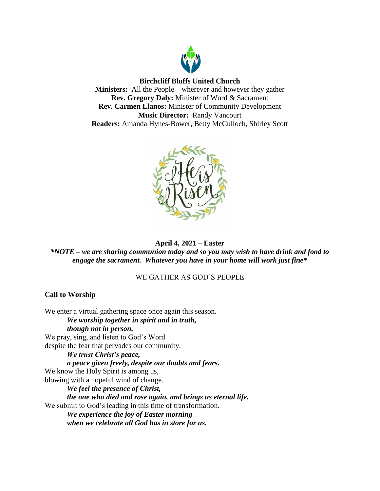

# **Birchcliff Bluffs United Church**

**Ministers:** All the People – wherever and however they gather **Rev. Gregory Daly:** Minister of Word & Sacrament **Rev. Carmen Llanos:** Minister of Community Development **Music Director:** Randy Vancourt **Readers:** Amanda Hynes-Bower, Betty McCulloch, Shirley Scott



# **April 4, 2021 – Easter**

*\*NOTE – we are sharing communion today and so you may wish to have drink and food to engage the sacrament. Whatever you have in your home will work just fine\**

# WE GATHER AS GOD'S PEOPLE

# **Call to Worship**

We enter a virtual gathering space once again this season. *We worship together in spirit and in truth, though not in person.* We pray, sing, and listen to God's Word despite the fear that pervades our community. *We trust Christ's peace, a peace given freely, despite our doubts and fears.* We know the Holy Spirit is among us, blowing with a hopeful wind of change. *We feel the presence of Christ, the one who died and rose again, and brings us eternal life.* We submit to God's leading in this time of transformation. *We experience the joy of Easter morning when we celebrate all God has in store for us.*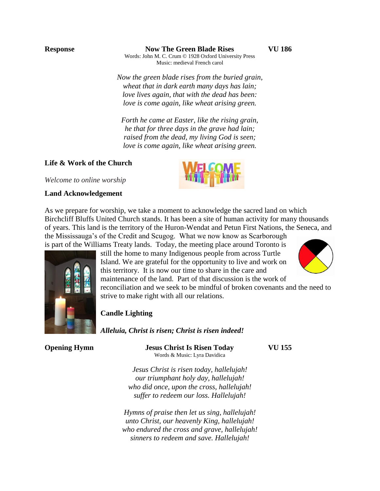**Response Now The Green Blade Rises VU 186**  Words: John M. C. Crum © 1928 Oxford University Press Music: medieval French carol

> *Now the green blade rises from the buried grain, wheat that in dark earth many days has lain; love lives again, that with the dead has been: love is come again, like wheat arising green.*

*Forth he came at Easter, like the rising grain, he that for three days in the grave had lain; raised from the dead, my living God is seen; love is come again, like wheat arising green.*

# **Life & Work of the Church**

*Welcome to online worship*

### **Land Acknowledgement**

As we prepare for worship, we take a moment to acknowledge the sacred land on which Birchcliff Bluffs United Church stands. It has been a site of human activity for many thousands of years. This land is the territory of the Huron-Wendat and Petun First Nations, the Seneca, and the Mississauga's of the Credit and Scugog. What we now know as Scarborough

is part of the Williams Treaty lands. Today, the meeting place around Toronto is still the home to many Indigenous people from across Turtle Island. We are grateful for the opportunity to live and work on this territory. It is now our time to share in the care and maintenance of the land. Part of that discussion is the work of

reconciliation and we seek to be mindful of broken covenants and the need to strive to make right with all our relations.

# **Candle Lighting**

*Alleluia, Christ is risen; Christ is risen indeed!*

**Opening Hymn** Jesus Christ Is Risen Today **VU** 155 Words & Music: Lyra Davidica

*Jesus Christ is risen today, hallelujah! our triumphant holy day, hallelujah! who did once, upon the cross, hallelujah! suffer to redeem our loss. Hallelujah!*

*Hymns of praise then let us sing, hallelujah! unto Christ, our heavenly King, hallelujah! who endured the cross and grave, hallelujah! sinners to redeem and save. Hallelujah!*





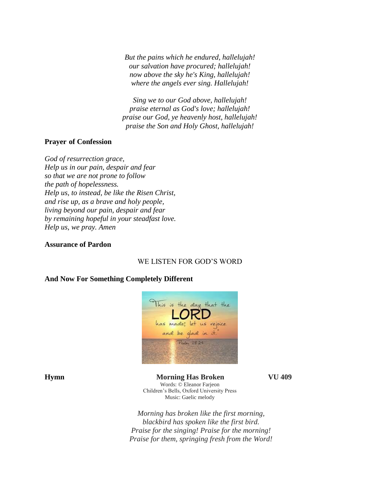*But the pains which he endured, hallelujah! our salvation have procured; hallelujah! now above the sky he's King, hallelujah! where the angels ever sing. Hallelujah!*

*Sing we to our God above, hallelujah! praise eternal as God's love; hallelujah! praise our God, ye heavenly host, hallelujah! praise the Son and Holy Ghost, hallelujah!*

## **Prayer of Confession**

*God of resurrection grace, Help us in our pain, despair and fear so that we are not prone to follow the path of hopelessness. Help us, to instead, be like the Risen Christ, and rise up, as a brave and holy people, living beyond our pain, despair and fear by remaining hopeful in your steadfast love. Help us, we pray. Amen*

# **Assurance of Pardon**

# WE LISTEN FOR GOD'S WORD

### **And Now For Something Completely Different**



**Hymn Morning Has Broken VU 409**  Words: © Eleanor Farjeon Children's Bells, Oxford University Press Music: Gaelic melody

> *Morning has broken like the first morning, blackbird has spoken like the first bird. Praise for the singing! Praise for the morning! Praise for them, springing fresh from the Word!*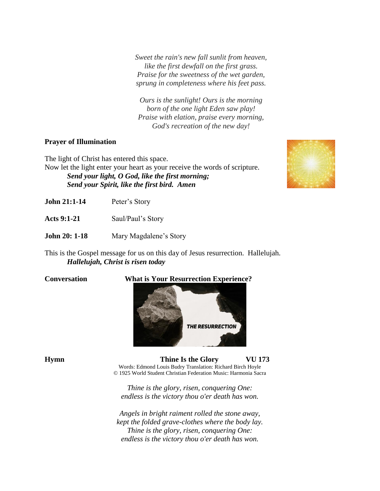*Sweet the rain's new fall sunlit from heaven, like the first dewfall on the first grass. Praise for the sweetness of the wet garden, sprung in completeness where his feet pass.*

 *Ours is the sunlight! Ours is the morning born of the one light Eden saw play! Praise with elation, praise every morning, God's recreation of the new day!*

# **Prayer of Illumination**

The light of Christ has entered this space. Now let the light enter your heart as your receive the words of scripture. *Send your light, O God, like the first morning; Send your Spirit, like the first bird. Amen*

- **John 21:1-14** Peter's Story
- Acts 9:1-21 **Saul/Paul's Story**
- **John 20: 1-18** Mary Magdalene's Story

This is the Gospel message for us on this day of Jesus resurrection. Hallelujah. *Hallelujah, Christ is risen today*

**Conversation What is Your Resurrection Experience?**



**Hymn Thine Is the Glory VU 173** Words: Edmond Louis Budry Translation: Richard Birch Hoyle © 1925 World Student Christian Federation Music: Harmonia Sacra

> *Thine is the glory, risen, conquering One: endless is the victory thou o'er death has won.*

*Angels in bright raiment rolled the stone away, kept the folded grave-clothes where the body lay. Thine is the glory, risen, conquering One: endless is the victory thou o'er death has won.*

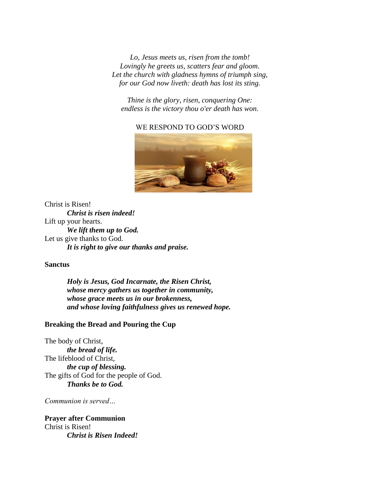*Lo, Jesus meets us, risen from the tomb! Lovingly he greets us, scatters fear and gloom. Let the church with gladness hymns of triumph sing, for our God now liveth: death has lost its sting.*

*Thine is the glory, risen, conquering One: endless is the victory thou o'er death has won.*

# WE RESPOND TO GOD'S WORD



Christ is Risen! *Christ is risen indeed!* Lift up your hearts. *We lift them up to God.* Let us give thanks to God. *It is right to give our thanks and praise.*

## **Sanctus**

*Holy is Jesus, God Incarnate, the Risen Christ, whose mercy gathers us together in community, whose grace meets us in our brokenness, and whose loving faithfulness gives us renewed hope.*

# **Breaking the Bread and Pouring the Cup**

The body of Christ, *the bread of life.* The lifeblood of Christ, *the cup of blessing.* The gifts of God for the people of God. *Thanks be to God.*

*Communion is served…*

**Prayer after Communion**  Christ is Risen! *Christ is Risen Indeed!*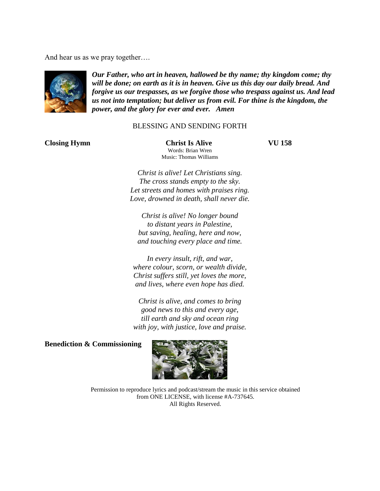And hear us as we pray together….



*Our Father, who art in heaven, hallowed be thy name; thy kingdom come; thy will be done; on earth as it is in heaven. Give us this day our daily bread. And forgive us our trespasses, as we forgive those who trespass against us. And lead us not into temptation; but deliver us from evil. For thine is the kingdom, the power, and the glory for ever and ever. Amen*

# BLESSING AND SENDING FORTH

**Closing Hymn Christ Is Alive VU 158**  Words: Brian Wren Music: Thomas Williams

*Christ is alive! Let Christians sing. The cross stands empty to the sky. Let streets and homes with praises ring. Love, drowned in death, shall never die.*

*Christ is alive! No longer bound to distant years in Palestine, but saving, healing, here and now, and touching every place and time.*

*In every insult, rift, and war, where colour, scorn, or wealth divide, Christ suffers still, yet loves the more, and lives, where even hope has died.*

*Christ is alive, and comes to bring good news to this and every age, till earth and sky and ocean ring with joy, with justice, love and praise.*

# **Benediction & Commissioning**



Permission to reproduce lyrics and podcast/stream the music in this service obtained from ONE LICENSE, with license #A-737645. All Rights Reserved.